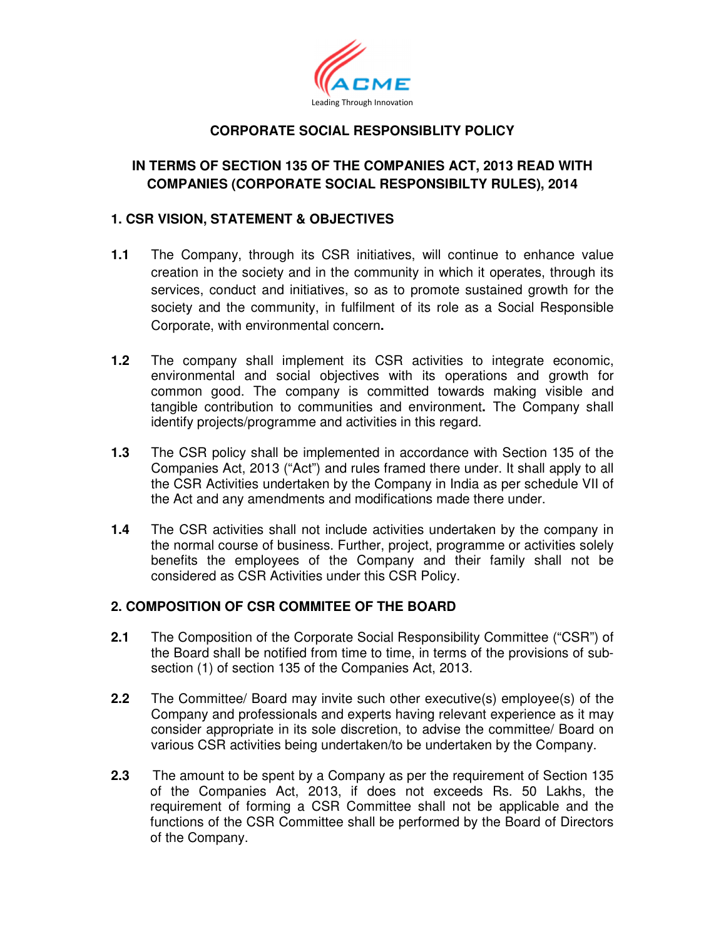

# **CORPORATE SOCIAL RESPONSIBLITY POLICY**

# **IN TERMS OF SECTION 135 OF THE COMPANIES ACT, 2013 READ WITH COMPANIES (CORPORATE SOCIAL RESPONSIBILTY RULES), 2014**

### **1. CSR VISION, STATEMENT & OBJECTIVES**

- **1.1** The Company, through its CSR initiatives, will continue to enhance value creation in the society and in the community in which it operates, through its services, conduct and initiatives, so as to promote sustained growth for the society and the community, in fulfilment of its role as a Social Responsible Corporate, with environmental concern**.**
- **1.2** The company shall implement its CSR activities to integrate economic, environmental and social objectives with its operations and growth for common good. The company is committed towards making visible and tangible contribution to communities and environment**.** The Company shall identify projects/programme and activities in this regard.
- **1.3** The CSR policy shall be implemented in accordance with Section 135 of the Companies Act, 2013 ("Act") and rules framed there under. It shall apply to all the CSR Activities undertaken by the Company in India as per schedule VII of the Act and any amendments and modifications made there under.
- **1.4** The CSR activities shall not include activities undertaken by the company in the normal course of business. Further, project, programme or activities solely benefits the employees of the Company and their family shall not be considered as CSR Activities under this CSR Policy.

# **2. COMPOSITION OF CSR COMMITEE OF THE BOARD**

- **2.1** The Composition of the Corporate Social Responsibility Committee ("CSR") of the Board shall be notified from time to time, in terms of the provisions of subsection (1) of section 135 of the Companies Act, 2013.
- **2.2** The Committee/ Board may invite such other executive(s) employee(s) of the Company and professionals and experts having relevant experience as it may consider appropriate in its sole discretion, to advise the committee/ Board on various CSR activities being undertaken/to be undertaken by the Company.
- **2.3** The amount to be spent by a Company as per the requirement of Section 135 of the Companies Act, 2013, if does not exceeds Rs. 50 Lakhs, the requirement of forming a CSR Committee shall not be applicable and the functions of the CSR Committee shall be performed by the Board of Directors of the Company.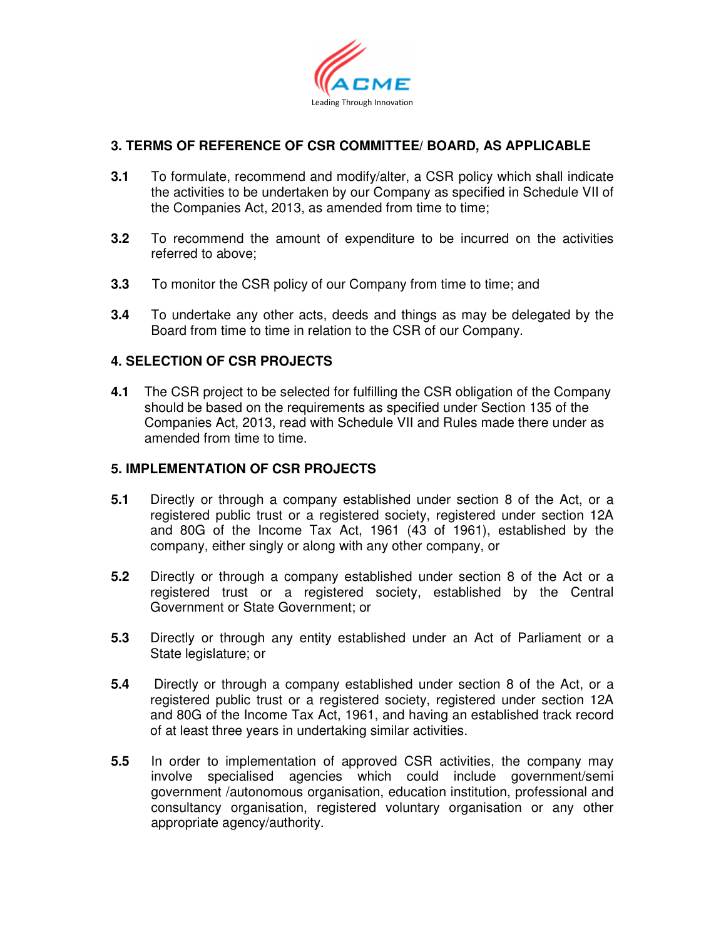

## **3. TERMS OF REFERENCE OF CSR COMMITTEE/ BOARD, AS APPLICABLE**

- **3.1** To formulate, recommend and modify/alter, a CSR policy which shall indicate the activities to be undertaken by our Company as specified in Schedule VII of the Companies Act, 2013, as amended from time to time;
- **3.2** To recommend the amount of expenditure to be incurred on the activities referred to above;
- **3.3** To monitor the CSR policy of our Company from time to time; and
- **3.4** To undertake any other acts, deeds and things as may be delegated by the Board from time to time in relation to the CSR of our Company.

### **4. SELECTION OF CSR PROJECTS**

**4.1** The CSR project to be selected for fulfilling the CSR obligation of the Company should be based on the requirements as specified under Section 135 of the Companies Act, 2013, read with Schedule VII and Rules made there under as amended from time to time.

### **5. IMPLEMENTATION OF CSR PROJECTS**

- **5.1** Directly or through a company established under section 8 of the Act, or a registered public trust or a registered society, registered under section 12A and 80G of the Income Tax Act, 1961 (43 of 1961), established by the company, either singly or along with any other company, or
- **5.2** Directly or through a company established under section 8 of the Act or a registered trust or a registered society, established by the Central Government or State Government; or
- **5.3** Directly or through any entity established under an Act of Parliament or a State legislature; or
- **5.4** Directly or through a company established under section 8 of the Act, or a registered public trust or a registered society, registered under section 12A and 80G of the Income Tax Act, 1961, and having an established track record of at least three years in undertaking similar activities.
- **5.5** In order to implementation of approved CSR activities, the company may involve specialised agencies which could include government/semi government /autonomous organisation, education institution, professional and consultancy organisation, registered voluntary organisation or any other appropriate agency/authority.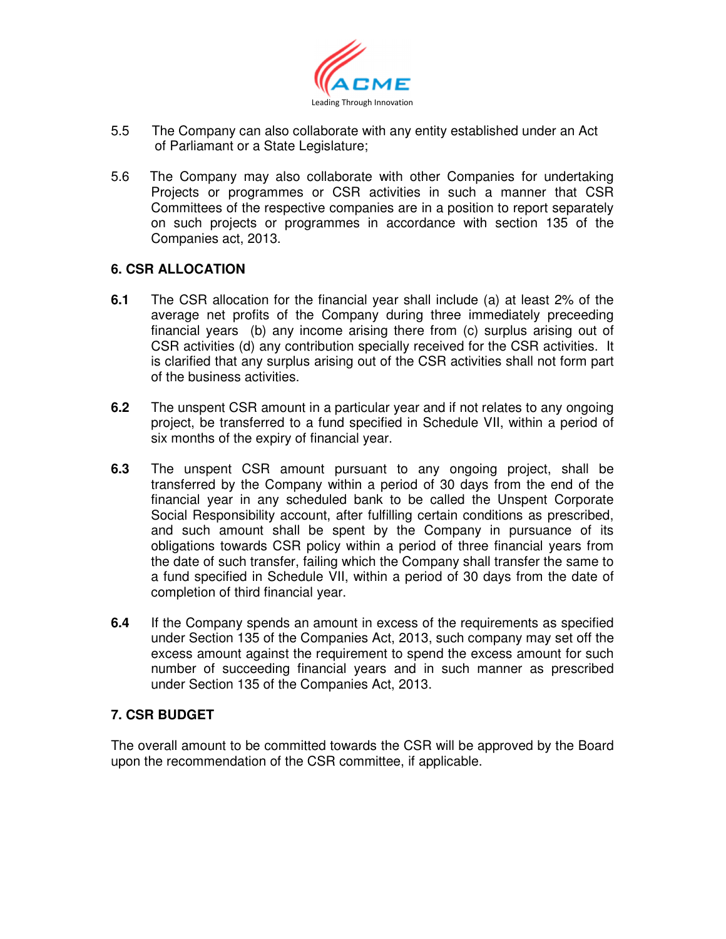

- 5.5 The Company can also collaborate with any entity established under an Act of Parliamant or a State Legislature;
- 5.6 The Company may also collaborate with other Companies for undertaking Projects or programmes or CSR activities in such a manner that CSR Committees of the respective companies are in a position to report separately on such projects or programmes in accordance with section 135 of the Companies act, 2013.

## **6. CSR ALLOCATION**

- **6.1** The CSR allocation for the financial year shall include (a) at least 2% of the average net profits of the Company during three immediately preceeding financial years (b) any income arising there from (c) surplus arising out of CSR activities (d) any contribution specially received for the CSR activities. It is clarified that any surplus arising out of the CSR activities shall not form part of the business activities.
- **6.2** The unspent CSR amount in a particular year and if not relates to any ongoing project, be transferred to a fund specified in Schedule VII, within a period of six months of the expiry of financial year.
- **6.3** The unspent CSR amount pursuant to any ongoing project, shall be transferred by the Company within a period of 30 days from the end of the financial year in any scheduled bank to be called the Unspent Corporate Social Responsibility account, after fulfilling certain conditions as prescribed, and such amount shall be spent by the Company in pursuance of its obligations towards CSR policy within a period of three financial years from the date of such transfer, failing which the Company shall transfer the same to a fund specified in Schedule VII, within a period of 30 days from the date of completion of third financial year.
- **6.4** If the Company spends an amount in excess of the requirements as specified under Section 135 of the Companies Act, 2013, such company may set off the excess amount against the requirement to spend the excess amount for such number of succeeding financial years and in such manner as prescribed under Section 135 of the Companies Act, 2013.

# **7. CSR BUDGET**

The overall amount to be committed towards the CSR will be approved by the Board upon the recommendation of the CSR committee, if applicable.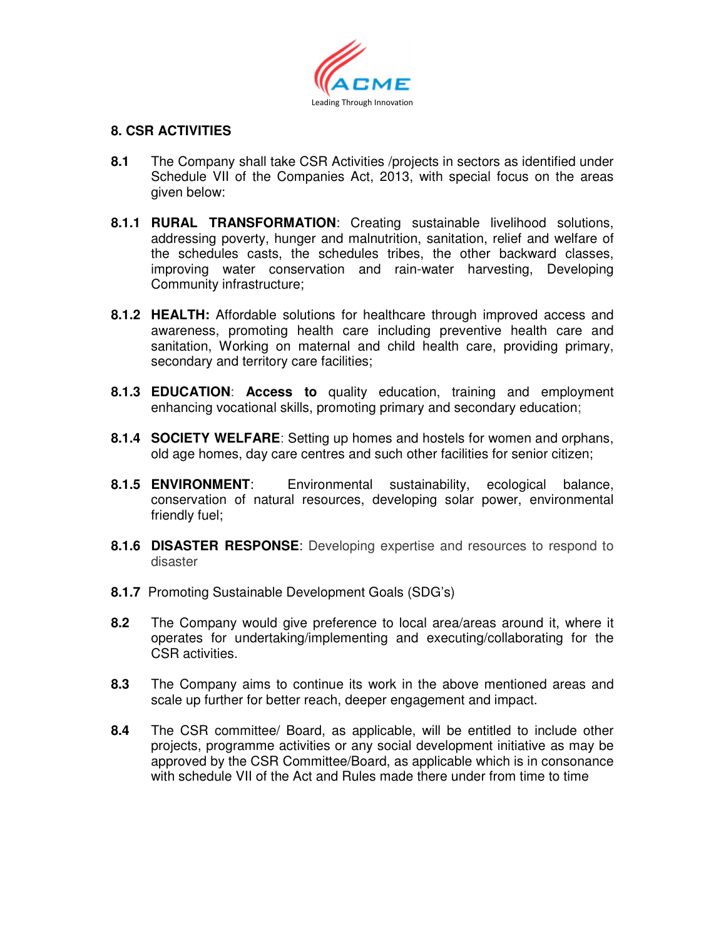

## **8. CSR ACTIVITIES**

- **8.1** The Company shall take CSR Activities /projects in sectors as identified under Schedule VII of the Companies Act, 2013, with special focus on the areas given below:
- **8.1.1 RURAL TRANSFORMATION**: Creating sustainable livelihood solutions, addressing poverty, hunger and malnutrition, sanitation, relief and welfare of the schedules casts, the schedules tribes, the other backward classes, improving water conservation and rain-water harvesting, Developing Community infrastructure;
- **8.1.2 HEALTH:** Affordable solutions for healthcare through improved access and awareness, promoting health care including preventive health care and sanitation, Working on maternal and child health care, providing primary, secondary and territory care facilities;
- **8.1.3 EDUCATION**: **Access to** quality education, training and employment enhancing vocational skills, promoting primary and secondary education;
- **8.1.4 SOCIETY WELFARE**: Setting up homes and hostels for women and orphans, old age homes, day care centres and such other facilities for senior citizen;
- **8.1.5 ENVIRONMENT**: Environmental sustainability, ecological balance, conservation of natural resources, developing solar power, environmental friendly fuel;
- **8.1.6 DISASTER RESPONSE**: Developing expertise and resources to respond to disaster
- **8.1.7** Promoting Sustainable Development Goals (SDG's)
- **8.2** The Company would give preference to local area/areas around it, where it operates for undertaking/implementing and executing/collaborating for the CSR activities.
- **8.3** The Company aims to continue its work in the above mentioned areas and scale up further for better reach, deeper engagement and impact.
- **8.4** The CSR committee/ Board, as applicable, will be entitled to include other projects, programme activities or any social development initiative as may be approved by the CSR Committee/Board, as applicable which is in consonance with schedule VII of the Act and Rules made there under from time to time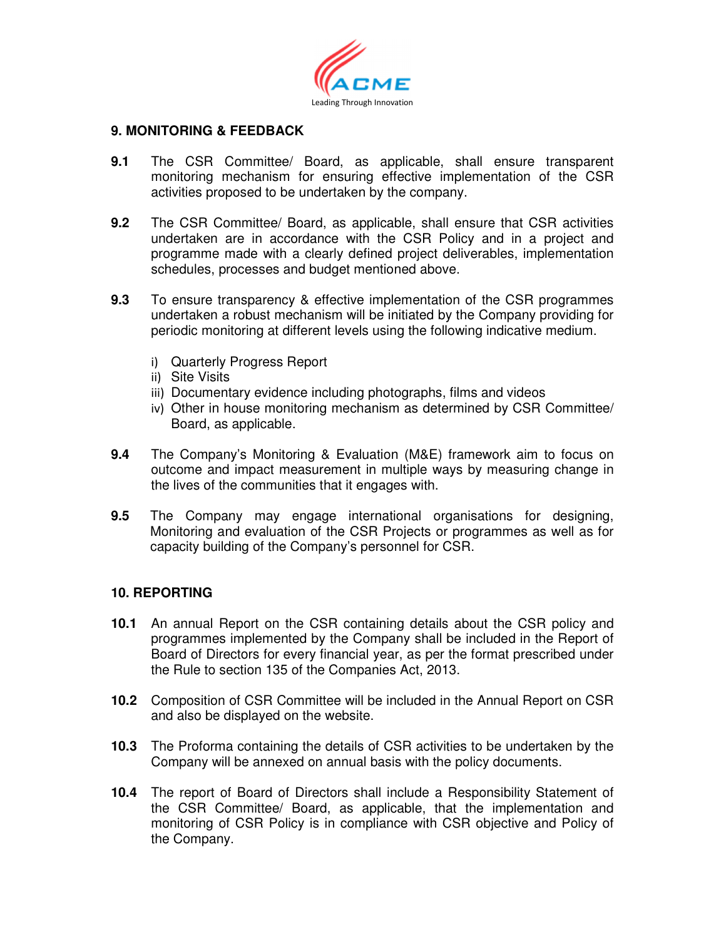

### **9. MONITORING & FEEDBACK**

- **9.1** The CSR Committee/ Board, as applicable, shall ensure transparent monitoring mechanism for ensuring effective implementation of the CSR activities proposed to be undertaken by the company.
- **9.2** The CSR Committee/ Board, as applicable, shall ensure that CSR activities undertaken are in accordance with the CSR Policy and in a project and programme made with a clearly defined project deliverables, implementation schedules, processes and budget mentioned above.
- **9.3** To ensure transparency & effective implementation of the CSR programmes undertaken a robust mechanism will be initiated by the Company providing for periodic monitoring at different levels using the following indicative medium.
	- i) Quarterly Progress Report
	- ii) Site Visits
	- iii) Documentary evidence including photographs, films and videos
	- iv) Other in house monitoring mechanism as determined by CSR Committee/ Board, as applicable.
- **9.4** The Company's Monitoring & Evaluation (M&E) framework aim to focus on outcome and impact measurement in multiple ways by measuring change in the lives of the communities that it engages with.
- **9.5** The Company may engage international organisations for designing, Monitoring and evaluation of the CSR Projects or programmes as well as for capacity building of the Company's personnel for CSR.

### **10. REPORTING**

- **10.1** An annual Report on the CSR containing details about the CSR policy and programmes implemented by the Company shall be included in the Report of Board of Directors for every financial year, as per the format prescribed under the Rule to section 135 of the Companies Act, 2013.
- **10.2** Composition of CSR Committee will be included in the Annual Report on CSR and also be displayed on the website.
- **10.3** The Proforma containing the details of CSR activities to be undertaken by the Company will be annexed on annual basis with the policy documents.
- **10.4** The report of Board of Directors shall include a Responsibility Statement of the CSR Committee/ Board, as applicable, that the implementation and monitoring of CSR Policy is in compliance with CSR objective and Policy of the Company.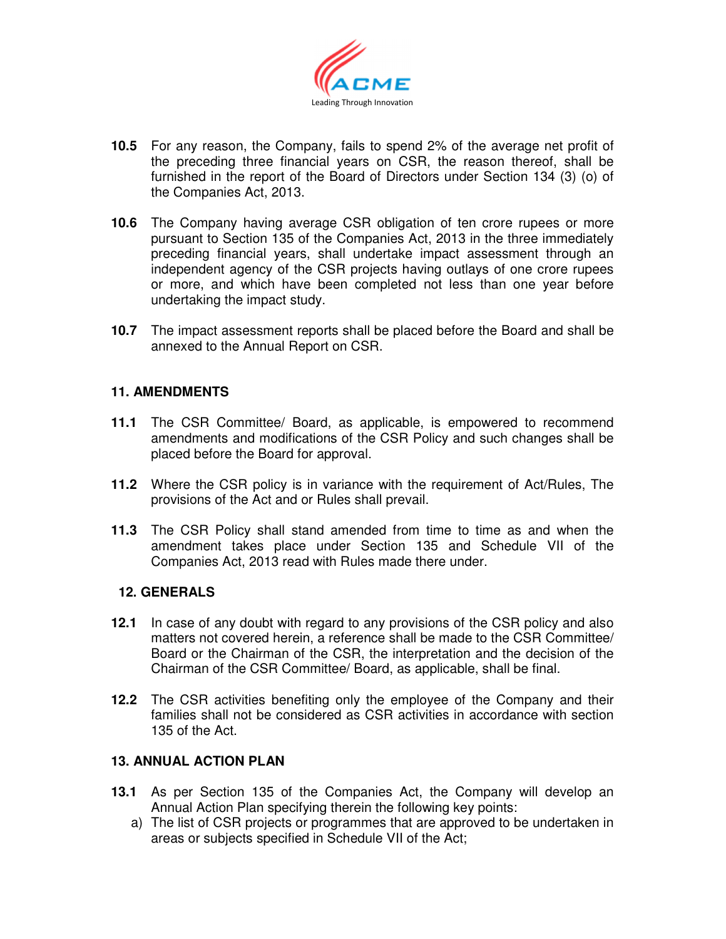

- **10.5** For any reason, the Company, fails to spend 2% of the average net profit of the preceding three financial years on CSR, the reason thereof, shall be furnished in the report of the Board of Directors under Section 134 (3) (o) of the Companies Act, 2013.
- **10.6** The Company having average CSR obligation of ten crore rupees or more pursuant to Section 135 of the Companies Act, 2013 in the three immediately preceding financial years, shall undertake impact assessment through an independent agency of the CSR projects having outlays of one crore rupees or more, and which have been completed not less than one year before undertaking the impact study.
- **10.7** The impact assessment reports shall be placed before the Board and shall be annexed to the Annual Report on CSR.

## **11. AMENDMENTS**

- **11.1** The CSR Committee/ Board, as applicable, is empowered to recommend amendments and modifications of the CSR Policy and such changes shall be placed before the Board for approval.
- **11.2** Where the CSR policy is in variance with the requirement of Act/Rules, The provisions of the Act and or Rules shall prevail.
- **11.3** The CSR Policy shall stand amended from time to time as and when the amendment takes place under Section 135 and Schedule VII of the Companies Act, 2013 read with Rules made there under.

### **12. GENERALS**

- **12.1** In case of any doubt with regard to any provisions of the CSR policy and also matters not covered herein, a reference shall be made to the CSR Committee/ Board or the Chairman of the CSR, the interpretation and the decision of the Chairman of the CSR Committee/ Board, as applicable, shall be final.
- **12.2** The CSR activities benefiting only the employee of the Company and their families shall not be considered as CSR activities in accordance with section 135 of the Act.

### **13. ANNUAL ACTION PLAN**

- **13.1** As per Section 135 of the Companies Act, the Company will develop an Annual Action Plan specifying therein the following key points:
	- a) The list of CSR projects or programmes that are approved to be undertaken in areas or subjects specified in Schedule VII of the Act;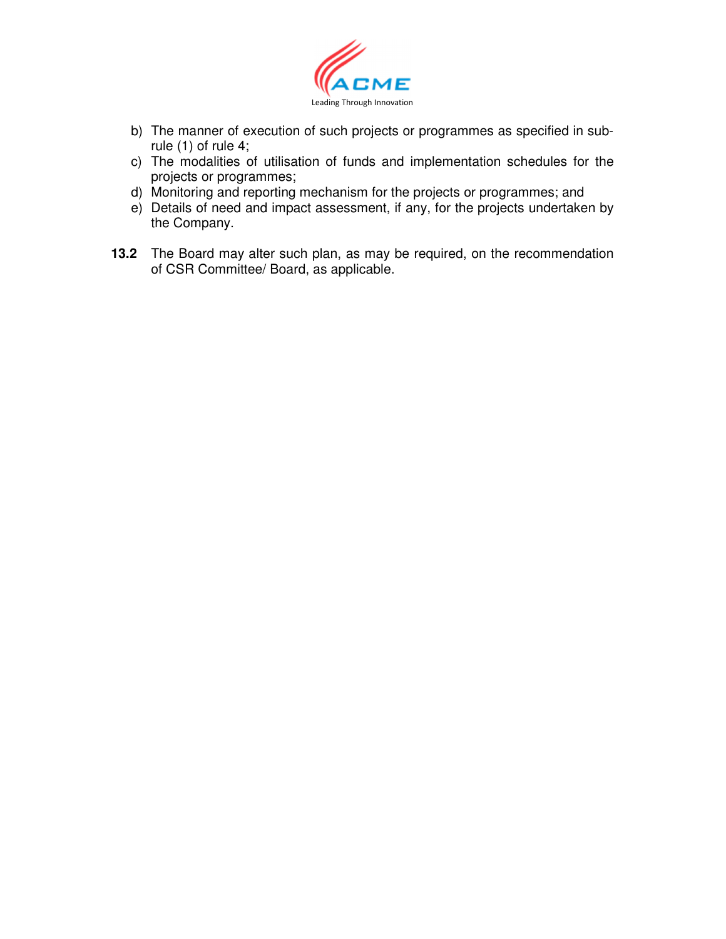

- b) The manner of execution of such projects or programmes as specified in subrule (1) of rule 4;
- c) The modalities of utilisation of funds and implementation schedules for the projects or programmes;
- d) Monitoring and reporting mechanism for the projects or programmes; and
- e) Details of need and impact assessment, if any, for the projects undertaken by the Company.
- **13.2** The Board may alter such plan, as may be required, on the recommendation of CSR Committee/ Board, as applicable.